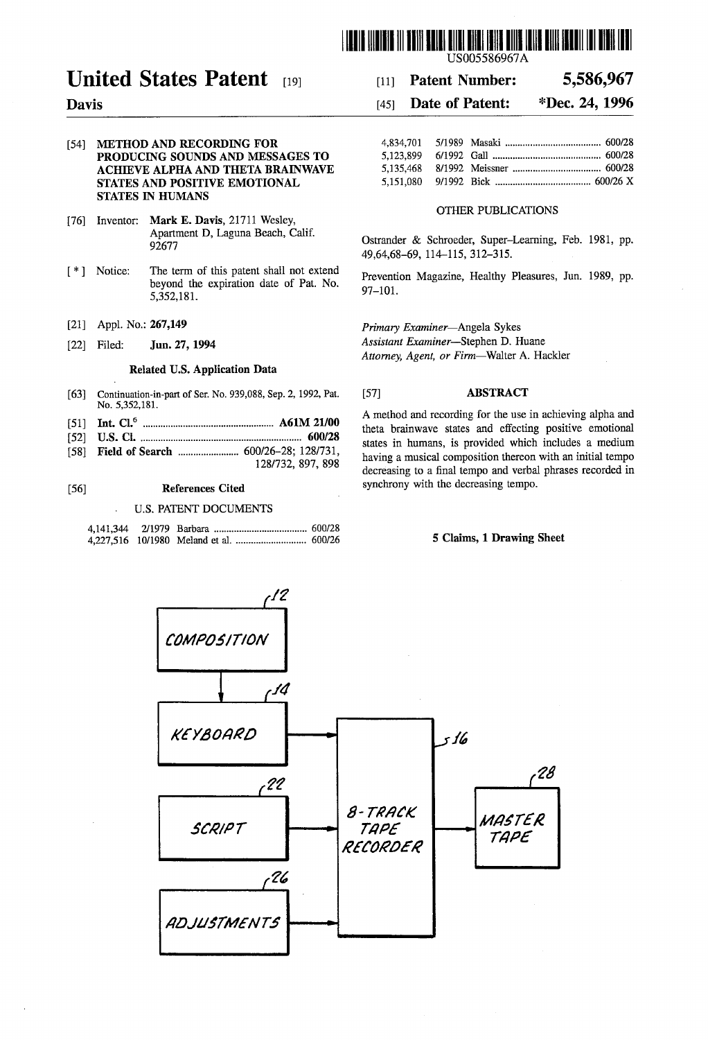

# United States Patent [19]

#### Davis

#### (54) METHOD AND RECORDING FOR PRODUCING SOUNDS AND MESSAGES TO ACHIEVE ALPHA AND THETA BRAINWAVE STATES AND POSITIVE EMOTIONAL STATES IN HUMANS

- [76] Inventor: Mark E. Davis, 21711 Wesley, Apartment D, Laguna Beach, Calif. 92677
- (\*) Notice: The term of this patent shall not extend beyond the expiration date of Pat. No. 5,352,181.
- (21) Appl. No.: 267,149
- [22] Filed: **Jun. 27, 1994**

#### Related U.S. Application Data

- [63] Continuation-in-part of Ser. No. 939,088, Sep. 2, 1992, Pat. No. 5,352,181.
- (51) Int. Cl. ................................. A61M 21/00
- (52) U.S. C. ....................................... 600/28
- 58 Field of Search ........................ 600/26-28; 128/731, 128/732, 897, 898

#### 56) References Cited

#### U.S. PATENT DOCUMENTS

## [11] **Patent Number:** 5,586,967

# 45) Date of Patent: \*Dec. 24, 1996

#### OTHER PUBLICATIONS

Ostrander & Schroeder, Super-Learning, Feb. 1981, pp. 49,64,68-69, 114-115, 312-315.

Prevention Magazine, Healthy Pleasures, Jun. 1989, pp. 97-101.

Primary Examiner-Angela Sykes

Assistant Examiner-Stephen D. Huane Attorney, Agent, or Firm-Walter A. Hackler

#### (57) ABSTRACT

A method and recording for the use in achieving alpha and theta brainwave states and effecting positive emotional states in humans, is provided which includes a medium<br>having a musical composition thereon with an initial tempo decreasing to a final tempo and verbal phrases recorded in synchrony with the decreasing tempo.

#### 5 Claims, 1 Drawing Sheet

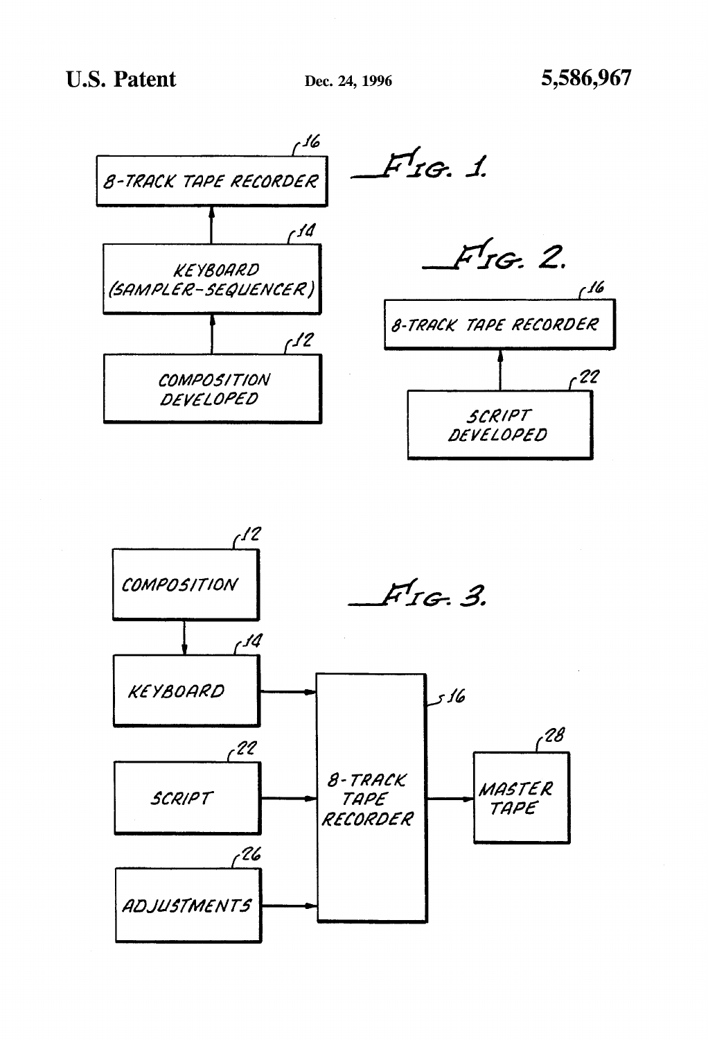

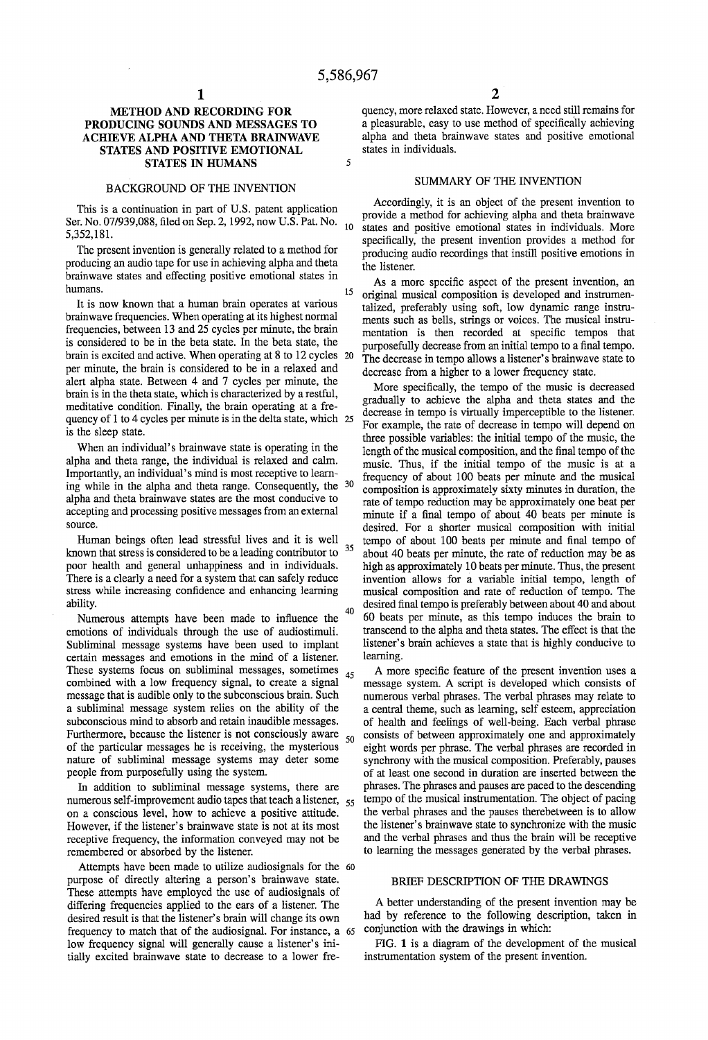5

15

40

#### METHOD AND RECORDING FOR PRODUCING SOUNDS AND MESSAGES TO ACHIEVE ALPHA AND THETA BRAINWAVE STATES AND POSITIVE EMOTIONAL STATES IN HUMANS

#### BACKGROUND OF THE INVENTION

This is a continuation in part of U.S. patent application Ser. No. 07/939,088, filed on Sep. 2, 1992, now U.S. Pat. No. 10<br>5.353.191 5,352,181.

The present invention is generally related to a method for producing an audio tape for use in achieving alpha and theta brainwave states and effecting positive emotional states in humans.

It is now known that a human brain operates at various brainwave frequencies. When operating at its highest normal frequencies, between 13 and 25 cycles per minute, the brain is considered to be in the beta state. In the beta state, the brain is excited and active. When operating at 8 to 12 cycles 20 per minute, the brain is considered to be in a relaxed and alert alpha state. Between 4 and 7 cycles per minute, the brain is in the theta state, which is characterized by a restful, meditative condition. Finally, the brain operating at a frequency of 1 to 4 cycles per minute is in the delta state, which 25 is the sleep state.

When an individual's brainwave state is operating in the alpha and theta range, the individual is relaxed and calm. Importantly, an individual's mind is most receptive to learn ing while in the alpha and theta range. Consequently, the 30 alpha and theta brainwave states are the most conducive to accepting and processing positive messages from an external source.

Human beings often lead stressful lives and it is well known that stress is considered to be a leading contributor to poor health and general unhappiness and in individuals. There is a clearly a need for a system that can safely reduce stress while increasing confidence and enhancing learning ability. 35

Numerous attempts have been made to influence the emotions of individuals through the use of audiostimuli. Subliminal message systems have been used to implant certain messages and emotions in the mind of a listener. These systems focus on subliminal messages, sometimes combined with a low frequency signal, to create a signal message that is audible only to the subconscious brain. Such a subliminal message system relies on the ability of the subconscious mind to absorb and retain inaudible messages. Furthermore, because the listener is not consciously aware of the particular messages he is receiving, the mysterious nature of subliminal message systems may deter some people from purposefully using the system. 45 50

In addition to subliminal message systems, there are numerous self-improvement audio tapes that teach a listener, 55 on a conscious level, how to achieve a positive attitude. However, if the listener's brainwave state is not at its most receptive frequency, the information conveyed may not be remembered or absorbed by the listener.

Attempts have been made to utilize audiosignals for the 60 purpose of directly altering a person's brainwave state. These attempts have employed the use of audiosignals of differing frequencies applied to the ears of a listener. The desired result is that the listener's brain will change its own frequency to match that of the audiosignal. For instance, a 65 low frequency signal will generally cause a listener's ini tially excited brainwave state to decrease to a lower fre

quency, more relaxed state. However, a need still remains for a pleasurable, easy to use method of specifically achieving alpha and theta brainwave states and positive emotional states in individuals.

#### SUMMARY OF THE INVENTION

Accordingly, it is an object of the present invention to provide a method for achieving alpha and theta brainwave states and positive emotional states in individuals. More specifically, the present invention provides a method for producing audio recordings that instill positive emotions in the listener,

As a more specific aspect of the present invention, an original musical composition is developed and instrumen talized, preferably using soft, low dynamic range instru ments such as bells, strings or voices. The musical instru mentation is then recorded at specific tempos that purposefully decrease from an initial tempo to a final tempo. The decrease in tempo allows a listener's brainwave state to decrease from a higher to a lower frequency state.

More specifically, the tempo of the music is decreased gradually to achieve the alpha and theta states and the decrease in tempo is virtually imperceptible to the listener. For example, the rate of decrease in tempo will depend on three possible variables: the initial tempo of the music, the length of the musical composition, and the final tempo of the music. Thus, if the initial tempo of the music is at a frequency of about 100 beats per minute and the musical composition is approximately sixty minutes in duration, the rate of tempo reduction may be approximately one beat per minute if a final tempo of about 40 beats per minute is desired. For a shorter musical composition with initial tempo of about 100 beats per minute and final tempo of about 40 beats per minute, the rate of reduction may be as high as approximately 10 beats per minute. Thus, the present invention allows for a variable initial tempo, length of musical composition and rate of reduction of tempo. The desired final tempo is preferably between about 40 and about 60 beats per minute, as this tempo induces the brain to transcend to the alpha and theta states. The effect is that the listener's brain achieves a state that is highly conducive to learning.

A more specific feature of the present invention uses a message system. A script is developed which consists of numerous verbal phrases. The verbal phrases may relate to a central theme, such as learning, self esteem, appreciation of health and feelings of well-being. Each verbal phrase<br>consists of between approximately one and approximately<br>eight words per phrase. The verbal phrases are recorded in synchrony with the musical composition. Preferably, pauses of at least one second in duration are inserted between the phrases. The phrases and pauses are paced to the descending the verbal phrases and the pauses therebetween is to allow the listener's brainwave state to synchronize with the music to learning the messages generated by the verbal phrases.

#### BRIEF DESCRIPTION OF THE DRAWINGS

A better understanding of the present invention may be had by reference to the following description, taken in conjunction with the drawings in which:

FIG. 1 is a diagram of the development of the musical instrumentation system of the present invention.